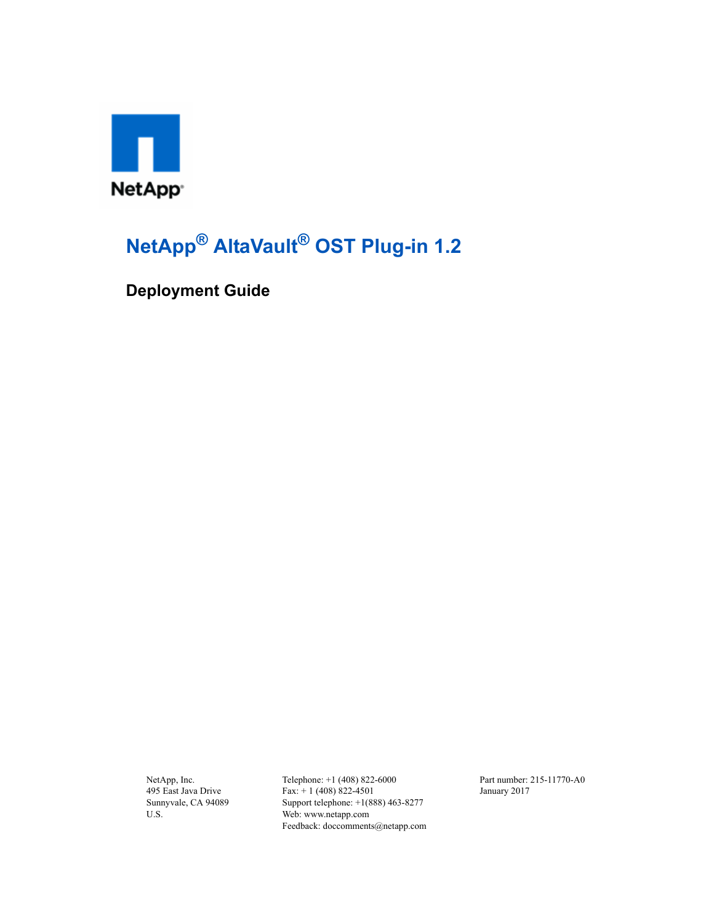

# **NetApp® AltaVault® OST Plug-in 1.2**

**Deployment Guide**

NetApp, Inc. 495 East Java Drive Sunnyvale, CA 94089 U.S.

Telephone: +1 (408) 822-6000 Fax: + 1 (408) 822-4501 Support telephone: +1(888) 463-8277 Web: www.netapp.com Feedback: doccomments@netapp.com Part number: 215-11770-A0 January 2017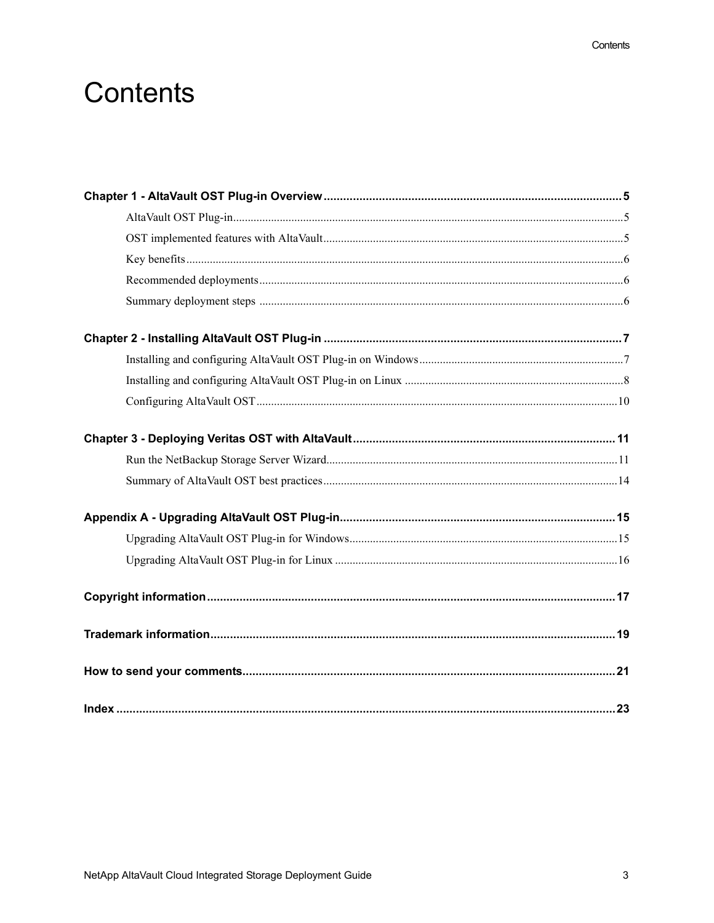# **Contents**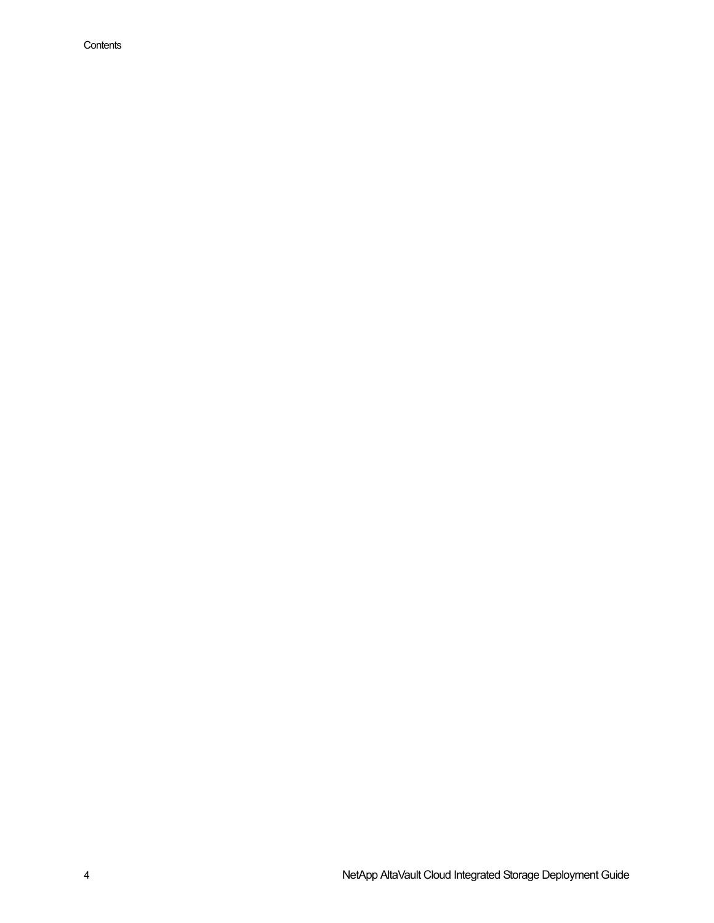**Contents**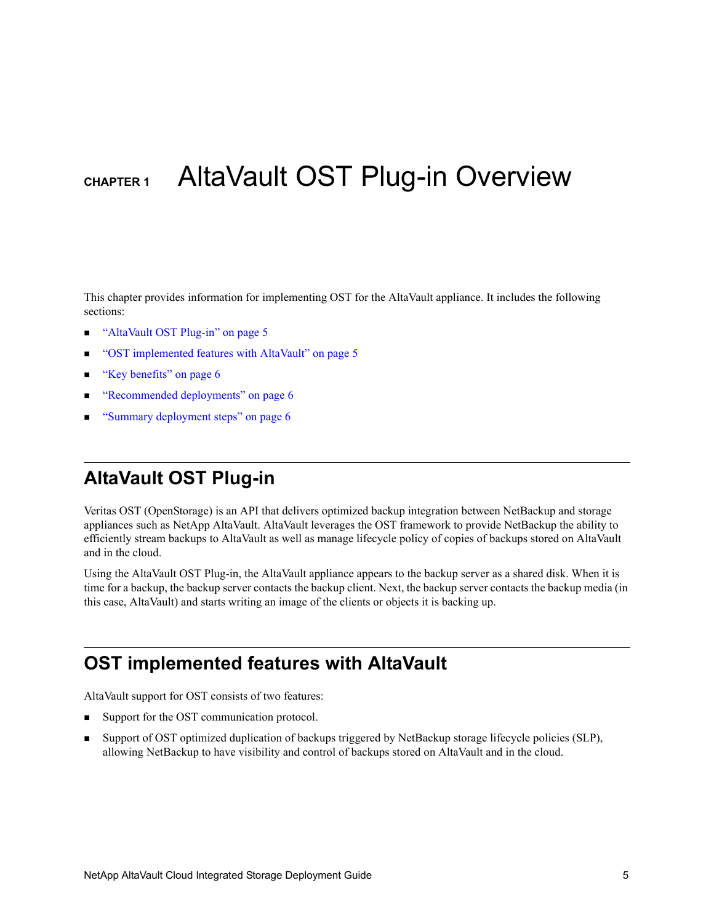## <span id="page-4-0"></span>**CHAPTER 1** AltaVault OST Plug-in Overview

This chapter provides information for implementing OST for the AltaVault appliance. It includes the following sections:

- ["AltaVault OST Plug-in" on page 5](#page-4-1)
- ["OST implemented features with AltaVault" on page 5](#page-4-2)
- ["Key benefits" on page 6](#page-5-0)
- **EXECOMMENDED** ["Recommended deployments" on page 6](#page-5-1)
- **Example 1** ["Summary deployment steps" on page 6](#page-5-2)

### <span id="page-4-1"></span>**AltaVault OST Plug-in**

<span id="page-4-6"></span><span id="page-4-4"></span>Veritas OST (OpenStorage) is an API that delivers optimized backup integration between NetBackup and storage appliances such as NetApp AltaVault. AltaVault leverages the OST framework to provide NetBackup the ability to efficiently stream backups to AltaVault as well as manage lifecycle policy of copies of backups stored on AltaVault and in the cloud.

Using the AltaVault OST Plug-in, the AltaVault appliance appears to the backup server as a shared disk. When it is time for a backup, the backup server contacts the backup client. Next, the backup server contacts the backup media (in this case, AltaVault) and starts writing an image of the clients or objects it is backing up.

### <span id="page-4-5"></span><span id="page-4-2"></span>**OST implemented features with AltaVault**

<span id="page-4-3"></span>AltaVault support for OST consists of two features:

- Support for the OST communication protocol.
- Support of OST optimized duplication of backups triggered by NetBackup storage lifecycle policies (SLP), allowing NetBackup to have visibility and control of backups stored on AltaVault and in the cloud.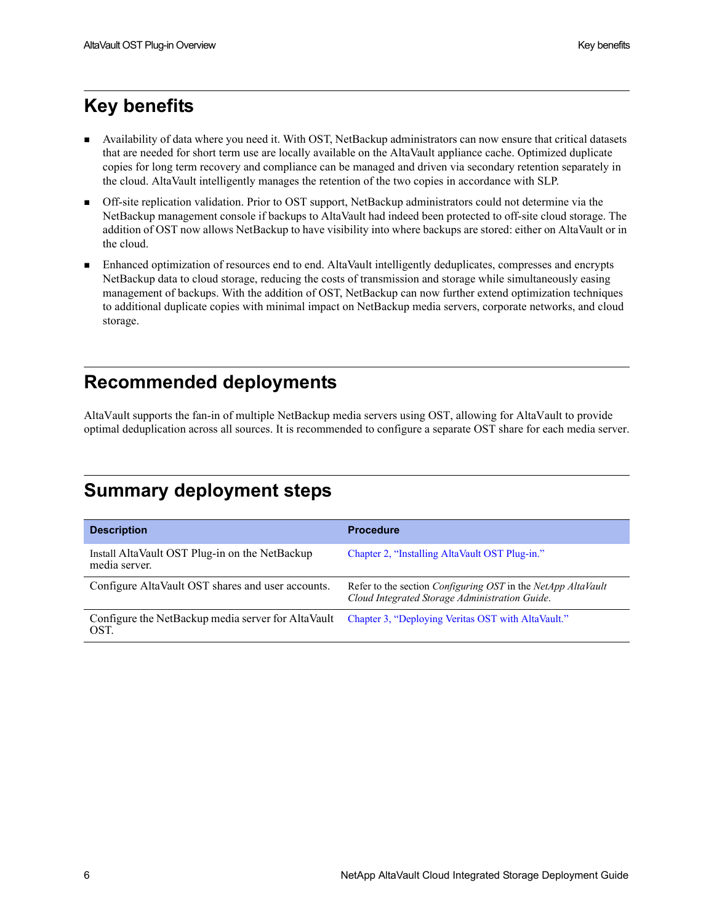## <span id="page-5-0"></span>**Key benefits**

- <span id="page-5-3"></span> Availability of data where you need it. With OST, NetBackup administrators can now ensure that critical datasets that are needed for short term use are locally available on the AltaVault appliance cache. Optimized duplicate copies for long term recovery and compliance can be managed and driven via secondary retention separately in the cloud. AltaVault intelligently manages the retention of the two copies in accordance with SLP.
- Off-site replication validation. Prior to OST support, NetBackup administrators could not determine via the NetBackup management console if backups to AltaVault had indeed been protected to off-site cloud storage. The addition of OST now allows NetBackup to have visibility into where backups are stored: either on AltaVault or in the cloud.
- Enhanced optimization of resources end to end. AltaVault intelligently deduplicates, compresses and encrypts NetBackup data to cloud storage, reducing the costs of transmission and storage while simultaneously easing management of backups. With the addition of OST, NetBackup can now further extend optimization techniques to additional duplicate copies with minimal impact on NetBackup media servers, corporate networks, and cloud storage.

## <span id="page-5-1"></span>**Recommended deployments**

<span id="page-5-5"></span>AltaVault supports the fan-in of multiple NetBackup media servers using OST, allowing for AltaVault to provide optimal deduplication across all sources. It is recommended to configure a separate OST share for each media server.

## <span id="page-5-4"></span><span id="page-5-2"></span>**Summary deployment steps**

| <b>Description</b>                                              | <b>Procedure</b>                                                                                                             |
|-----------------------------------------------------------------|------------------------------------------------------------------------------------------------------------------------------|
| Install AltaVault OST Plug-in on the NetBackup<br>media server. | Chapter 2, "Installing AltaVault OST Plug-in."                                                                               |
| Configure AltaVault OST shares and user accounts.               | Refer to the section <i>Configuring OST</i> in the <i>NetApp AltaVault</i><br>Cloud Integrated Storage Administration Guide. |
| Configure the NetBackup media server for AltaVault<br>OST.      | Chapter 3, "Deploying Veritas OST with AltaVault."                                                                           |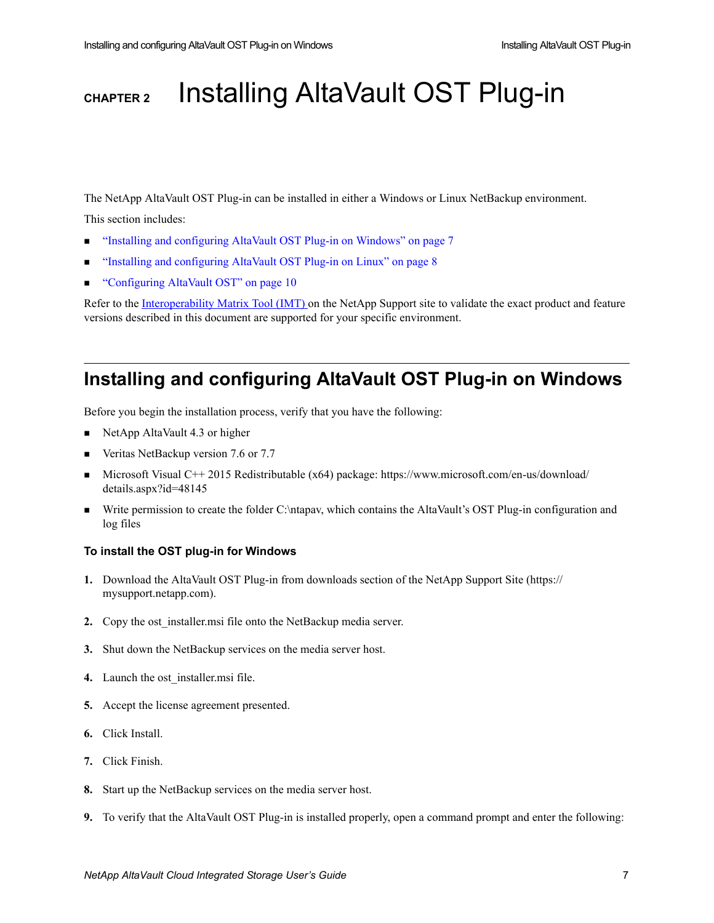# <span id="page-6-2"></span><span id="page-6-0"></span>**CHAPTER 2** Installing AltaVault OST Plug-in

<span id="page-6-4"></span>The NetApp AltaVault OST Plug-in can be installed in either a Windows or Linux NetBackup environment.

This section includes:

- ["Installing and configuring AltaVault OST Plug-in on Windows" on page 7](#page-6-1)
- ["Installing and configuring AltaVault OST Plug-in on Linux" on page 8](#page-7-0)
- ["Configuring AltaVault OST" on page 10](#page-9-0)

Refer to the [Interoperability Matrix Tool \(IMT\)](http://support.netapp.com/matrix/) on the NetApp Support site to validate the exact product and feature versions described in this document are supported for your specific environment.

### <span id="page-6-1"></span>**Installing and configuring AltaVault OST Plug-in on Windows**

Before you begin the installation process, verify that you have the following:

- NetApp AltaVault 4.3 or higher
- Veritas NetBackup version 7.6 or 7.7
- Microsoft Visual C++ 2015 Redistributable (x64) package: https://www.microsoft.com/en-us/download/ details.aspx?id=48145
- Write permission to create the folder C:\ntapav, which contains the AltaVault's OST Plug-in configuration and log files

#### <span id="page-6-3"></span>**To install the OST plug-in for Windows**

- <span id="page-6-5"></span>**1.** Download the AltaVault OST Plug-in from downloads section of the NetApp Support Site (https:// mysupport.netapp.com).
- **2.** Copy the ost\_installer.msi file onto the NetBackup media server.
- **3.** Shut down the NetBackup services on the media server host.
- **4.** Launch the ost\_installer.msi file.
- **5.** Accept the license agreement presented.
- **6.** Click Install.
- **7.** Click Finish.
- **8.** Start up the NetBackup services on the media server host.
- **9.** To verify that the AltaVault OST Plug-in is installed properly, open a command prompt and enter the following: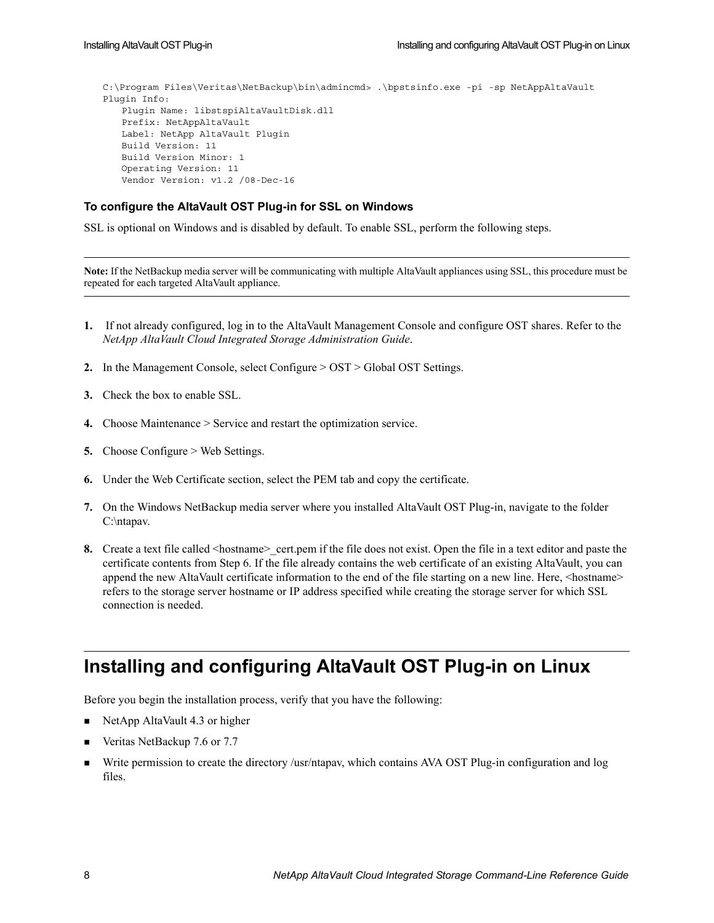```
C:\Program Files\Veritas\NetBackup\bin\admincmd> .\bpstsinfo.exe -pi -sp NetAppAltaVault
Plugin Info:
   Plugin Name: libstspiAltaVaultDisk.dll
   Prefix: NetAppAltaVault
   Label: NetApp AltaVault Plugin
   Build Version: 11
   Build Version Minor: 1
   Operating Version: 11
   Vendor Version: v1.2 /08-Dec-16
```
#### <span id="page-7-2"></span><span id="page-7-1"></span>**To configure the AltaVault OST Plug-in for SSL on Windows**

SSL is optional on Windows and is disabled by default. To enable SSL, perform the following steps.

**Note:** If the NetBackup media server will be communicating with multiple AltaVault appliances using SSL, this procedure must be repeated for each targeted AltaVault appliance.

- **1.** If not already configured, log in to the AltaVault Management Console and configure OST shares. Refer to the *NetApp AltaVault Cloud Integrated Storage Administration Guide*.
- **2.** In the Management Console, select Configure > OST > Global OST Settings.
- **3.** Check the box to enable SSL.
- **4.** Choose Maintenance > Service and restart the optimization service.
- **5.** Choose Configure > Web Settings.
- **6.** Under the Web Certificate section, select the PEM tab and copy the certificate.
- **7.** On the Windows NetBackup media server where you installed AltaVault OST Plug-in, navigate to the folder C:\ntapav.
- **8.** Create a text file called <hostname> cert.pem if the file does not exist. Open the file in a text editor and paste the certificate contents from Step 6. If the file already contains the web certificate of an existing AltaVault, you can append the new AltaVault certificate information to the end of the file starting on a new line. Here, <hostname> refers to the storage server hostname or IP address specified while creating the storage server for which SSL connection is needed.

### <span id="page-7-0"></span>**Installing and configuring AltaVault OST Plug-in on Linux**

<span id="page-7-3"></span>Before you begin the installation process, verify that you have the following:

- NetApp AltaVault 4.3 or higher
- Veritas NetBackup 7.6 or 7.7
- Write permission to create the directory /usr/ntapav, which contains AVA OST Plug-in configuration and log files.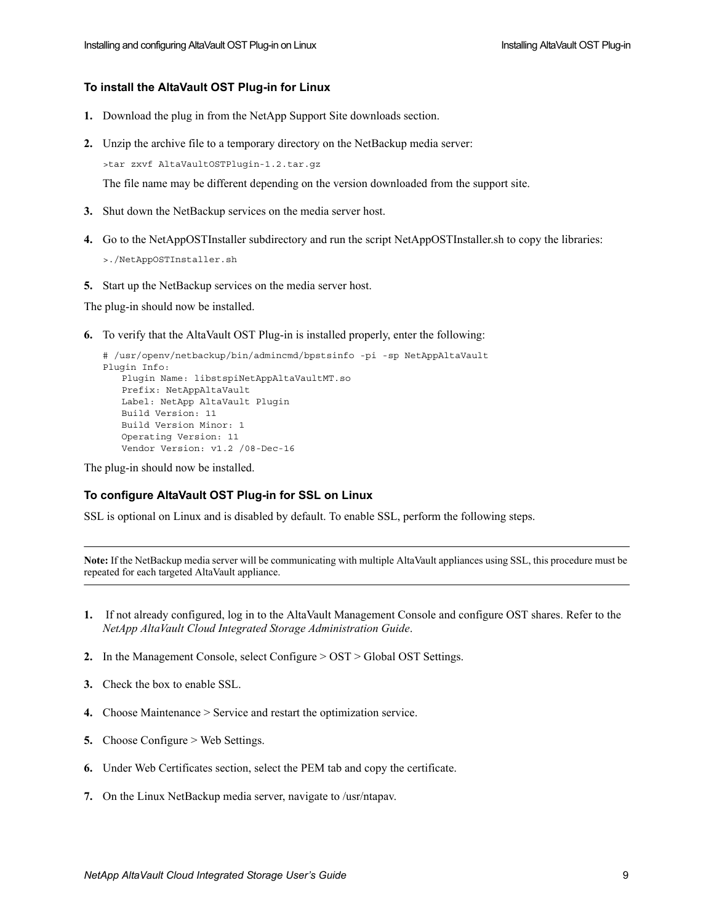#### <span id="page-8-0"></span>**To install the AltaVault OST Plug-in for Linux**

- **1.** Download the plug in from the NetApp Support Site downloads section.
- **2.** Unzip the archive file to a temporary directory on the NetBackup media server:

>tar zxvf AltaVaultOSTPlugin-1.2.tar.gz

The file name may be different depending on the version downloaded from the support site.

- **3.** Shut down the NetBackup services on the media server host.
- **4.** Go to the NetAppOSTInstaller subdirectory and run the script NetAppOSTInstaller.sh to copy the libraries:

>./NetAppOSTInstaller.sh

**5.** Start up the NetBackup services on the media server host.

The plug-in should now be installed.

**6.** To verify that the AltaVault OST Plug-in is installed properly, enter the following:

```
# /usr/openv/netbackup/bin/admincmd/bpstsinfo -pi -sp NetAppAltaVault
Plugin Info:
   Plugin Name: libstspiNetAppAltaVaultMT.so
   Prefix: NetAppAltaVault
   Label: NetApp AltaVault Plugin
   Build Version: 11
   Build Version Minor: 1
   Operating Version: 11
   Vendor Version: v1.2 /08-Dec-16
```
The plug-in should now be installed.

#### <span id="page-8-2"></span><span id="page-8-1"></span>**To configure AltaVault OST Plug-in for SSL on Linux**

SSL is optional on Linux and is disabled by default. To enable SSL, perform the following steps.

**Note:** If the NetBackup media server will be communicating with multiple AltaVault appliances using SSL, this procedure must be repeated for each targeted AltaVault appliance.

- **1.** If not already configured, log in to the AltaVault Management Console and configure OST shares. Refer to the *NetApp AltaVault Cloud Integrated Storage Administration Guide*.
- **2.** In the Management Console, select Configure > OST > Global OST Settings.
- **3.** Check the box to enable SSL.
- **4.** Choose Maintenance > Service and restart the optimization service.
- **5.** Choose Configure > Web Settings.
- **6.** Under Web Certificates section, select the PEM tab and copy the certificate.
- **7.** On the Linux NetBackup media server, navigate to /usr/ntapav.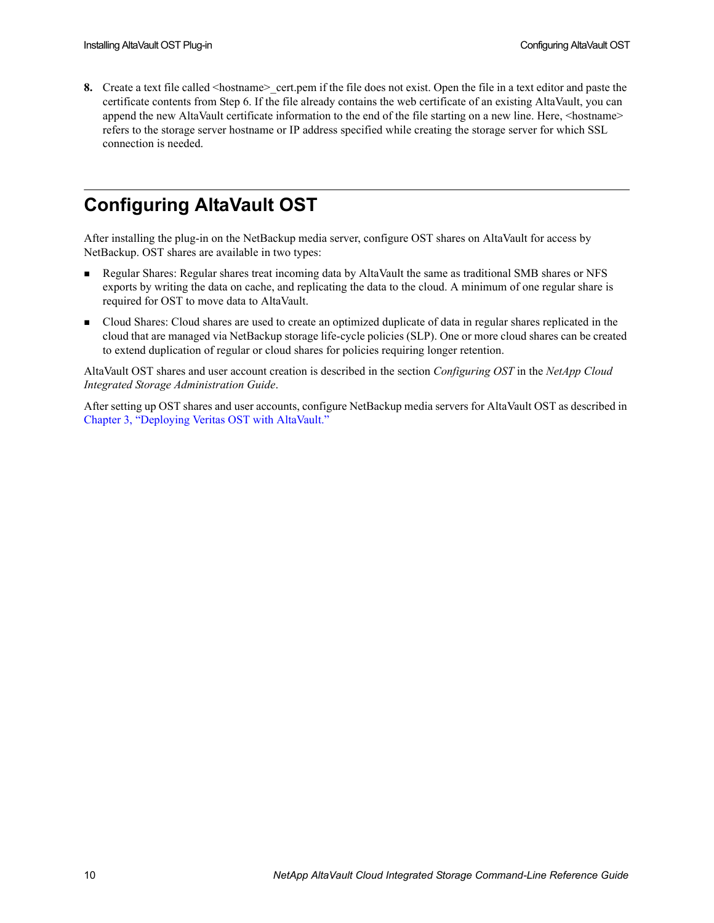**8.** Create a text file called <hostname> cert.pem if the file does not exist. Open the file in a text editor and paste the certificate contents from Step 6. If the file already contains the web certificate of an existing AltaVault, you can append the new AltaVault certificate information to the end of the file starting on a new line. Here, <hostname> refers to the storage server hostname or IP address specified while creating the storage server for which SSL connection is needed.

### <span id="page-9-0"></span>**Configuring AltaVault OST**

After installing the plug-in on the NetBackup media server, configure OST shares on AltaVault for access by NetBackup. OST shares are available in two types:

- Regular Shares: Regular shares treat incoming data by AltaVault the same as traditional SMB shares or NFS exports by writing the data on cache, and replicating the data to the cloud. A minimum of one regular share is required for OST to move data to AltaVault.
- Cloud Shares: Cloud shares are used to create an optimized duplicate of data in regular shares replicated in the cloud that are managed via NetBackup storage life-cycle policies (SLP). One or more cloud shares can be created to extend duplication of regular or cloud shares for policies requiring longer retention.

AltaVault OST shares and user account creation is described in the section *Configuring OST* in the *NetApp Cloud Integrated Storage Administration Guide*.

After setting up OST shares and user accounts, configure NetBackup media servers for AltaVault OST as described in [Chapter 3, "Deploying Veritas OST with AltaVault."](#page-10-2)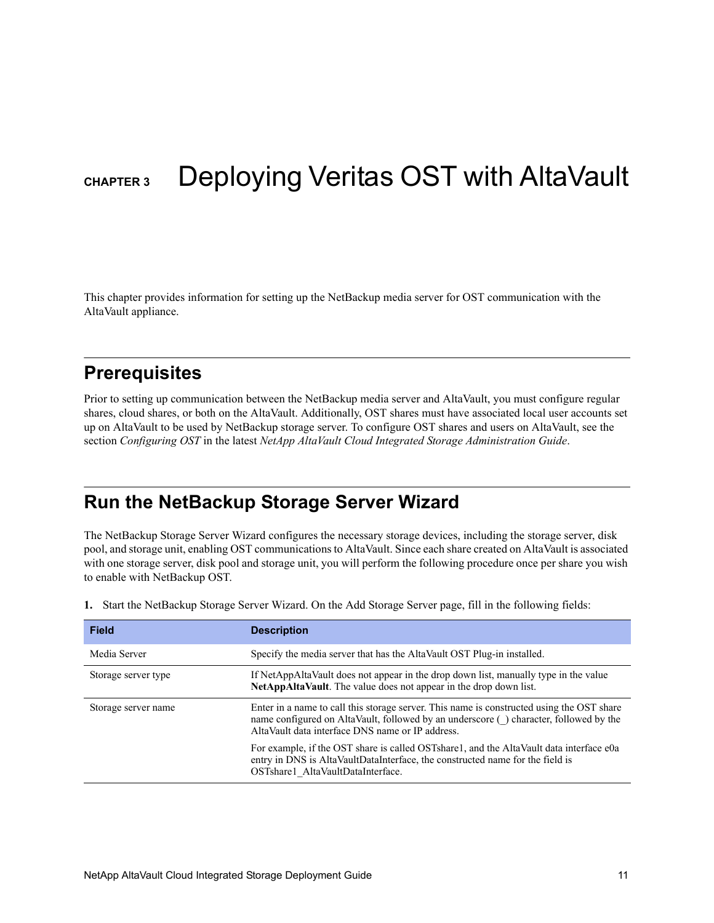## <span id="page-10-2"></span><span id="page-10-0"></span>**CHAPTER 3** Deploying Veritas OST with AltaVault

<span id="page-10-3"></span>This chapter provides information for setting up the NetBackup media server for OST communication with the AltaVault appliance.

### **Prerequisites**

Prior to setting up communication between the NetBackup media server and AltaVault, you must configure regular shares, cloud shares, or both on the AltaVault. Additionally, OST shares must have associated local user accounts set up on AltaVault to be used by NetBackup storage server. To configure OST shares and users on AltaVault, see the section *Configuring OST* in the latest *NetApp AltaVault Cloud Integrated Storage Administration Guide*.

### <span id="page-10-1"></span>**Run the NetBackup Storage Server Wizard**

The NetBackup Storage Server Wizard configures the necessary storage devices, including the storage server, disk pool, and storage unit, enabling OST communications to AltaVault. Since each share created on AltaVault is associated with one storage server, disk pool and storage unit, you will perform the following procedure once per share you wish to enable with NetBackup OST.

| <b>Field</b>        | <b>Description</b>                                                                                                                                                                                                                      |
|---------------------|-----------------------------------------------------------------------------------------------------------------------------------------------------------------------------------------------------------------------------------------|
| Media Server        | Specify the media server that has the AltaVault OST Plug-in installed.                                                                                                                                                                  |
| Storage server type | If NetAppAltaVault does not appear in the drop down list, manually type in the value<br>NetAppAltaVault. The value does not appear in the drop down list.                                                                               |
| Storage server name | Enter in a name to call this storage server. This name is constructed using the OST share<br>name configured on AltaVault, followed by an underscore () character, followed by the<br>Alta Vault data interface DNS name or IP address. |
|                     | For example, if the OST share is called OSTshare1, and the AltaVault data interface e0a<br>entry in DNS is AltaVaultDataInterface, the constructed name for the field is<br>OSTshare1 AltaVaultDataInterface.                           |

**1.** Start the NetBackup Storage Server Wizard. On the Add Storage Server page, fill in the following fields: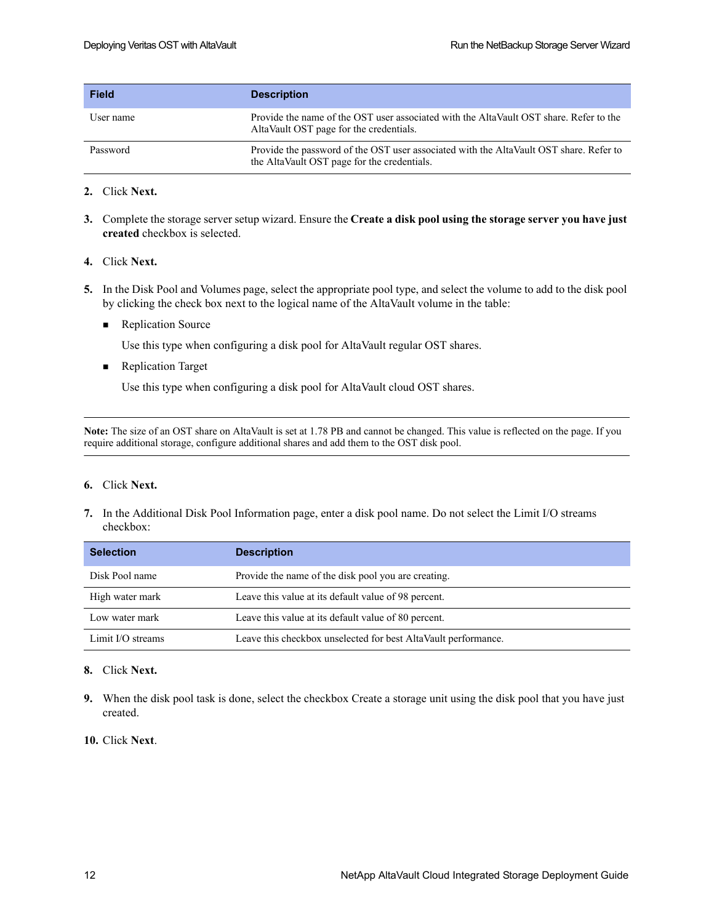| <b>Field</b> | <b>Description</b>                                                                                                                    |
|--------------|---------------------------------------------------------------------------------------------------------------------------------------|
| User name    | Provide the name of the OST user associated with the AltaVault OST share. Refer to the<br>AltaVault OST page for the credentials.     |
| Password     | Provide the password of the OST user associated with the AltaVault OST share. Refer to<br>the AltaVault OST page for the credentials. |

#### **2.** Click **Next.**

**3.** Complete the storage server setup wizard. Ensure the **Create a disk pool using the storage server you have just created** checkbox is selected.

#### **4.** Click **Next.**

- **5.** In the Disk Pool and Volumes page, select the appropriate pool type, and select the volume to add to the disk pool by clicking the check box next to the logical name of the AltaVault volume in the table:
	- **Replication Source**

Use this type when configuring a disk pool for AltaVault regular OST shares.

**Replication Target** 

Use this type when configuring a disk pool for AltaVault cloud OST shares.

**Note:** The size of an OST share on AltaVault is set at 1.78 PB and cannot be changed. This value is reflected on the page. If you require additional storage, configure additional shares and add them to the OST disk pool.

#### **6.** Click **Next.**

**7.** In the Additional Disk Pool Information page, enter a disk pool name. Do not select the Limit I/O streams checkbox:

| <b>Selection</b>  | <b>Description</b>                                             |
|-------------------|----------------------------------------------------------------|
| Disk Pool name    | Provide the name of the disk pool you are creating.            |
| High water mark   | Leave this value at its default value of 98 percent.           |
| Low water mark    | Leave this value at its default value of 80 percent.           |
| Limit I/O streams | Leave this checkbox unselected for best AltaVault performance. |

#### **8.** Click **Next.**

**9.** When the disk pool task is done, select the checkbox Create a storage unit using the disk pool that you have just created.

#### **10.** Click **Next**.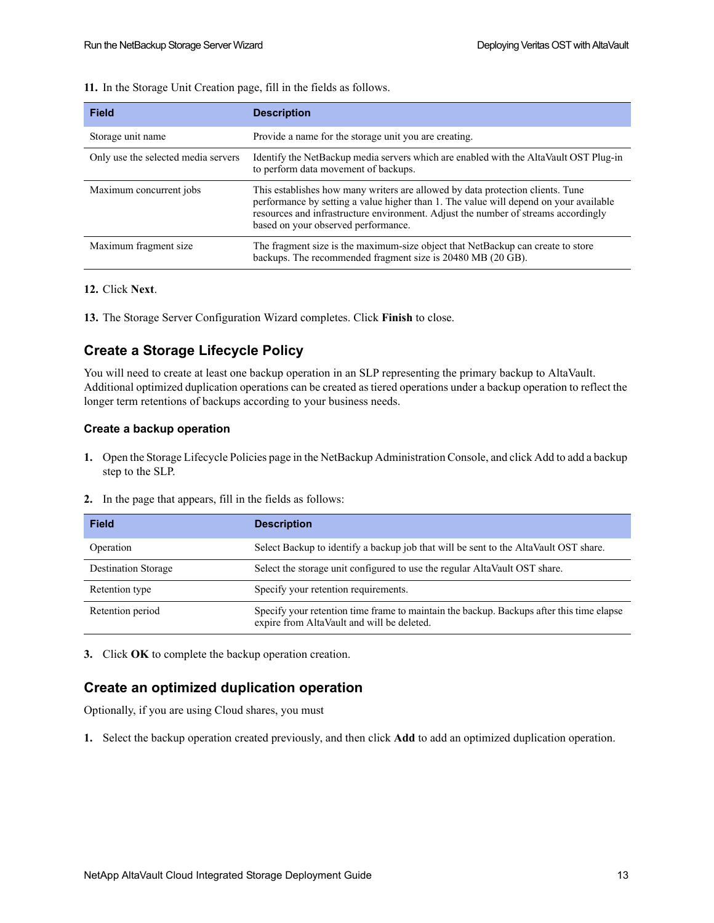| 11. In the Storage Unit Creation page, fill in the fields as follows. |  |
|-----------------------------------------------------------------------|--|
|-----------------------------------------------------------------------|--|

| <b>Field</b>                        | <b>Description</b>                                                                                                                                                                                                                                                                                   |
|-------------------------------------|------------------------------------------------------------------------------------------------------------------------------------------------------------------------------------------------------------------------------------------------------------------------------------------------------|
| Storage unit name                   | Provide a name for the storage unit you are creating.                                                                                                                                                                                                                                                |
| Only use the selected media servers | Identify the NetBackup media servers which are enabled with the AltaVault OST Plug-in<br>to perform data movement of backups.                                                                                                                                                                        |
| Maximum concurrent jobs             | This establishes how many writers are allowed by data protection clients. Tune<br>performance by setting a value higher than 1. The value will depend on your available<br>resources and infrastructure environment. Adjust the number of streams accordingly<br>based on your observed performance. |
| Maximum fragment size               | The fragment size is the maximum-size object that NetBackup can create to store<br>backups. The recommended fragment size is 20480 MB (20 GB).                                                                                                                                                       |

#### **12.** Click **Next**.

**13.** The Storage Server Configuration Wizard completes. Click **Finish** to close.

#### **Create a Storage Lifecycle Policy**

<span id="page-12-0"></span>You will need to create at least one backup operation in an SLP representing the primary backup to AltaVault. Additional optimized duplication operations can be created as tiered operations under a backup operation to reflect the longer term retentions of backups according to your business needs.

#### **Create a backup operation**

**1.** Open the Storage Lifecycle Policies page in the NetBackup Administration Console, and click Add to add a backup step to the SLP.

#### **2.** In the page that appears, fill in the fields as follows:

| <b>Field</b>               | <b>Description</b>                                                                                                                     |
|----------------------------|----------------------------------------------------------------------------------------------------------------------------------------|
| Operation                  | Select Backup to identify a backup job that will be sent to the AltaVault OST share.                                                   |
| <b>Destination Storage</b> | Select the storage unit configured to use the regular AltaVault OST share.                                                             |
| Retention type             | Specify your retention requirements.                                                                                                   |
| Retention period           | Specify your retention time frame to maintain the backup. Backups after this time elapse<br>expire from AltaVault and will be deleted. |

**3.** Click **OK** to complete the backup operation creation.

#### **Create an optimized duplication operation**

Optionally, if you are using Cloud shares, you must

**1.** Select the backup operation created previously, and then click **Add** to add an optimized duplication operation.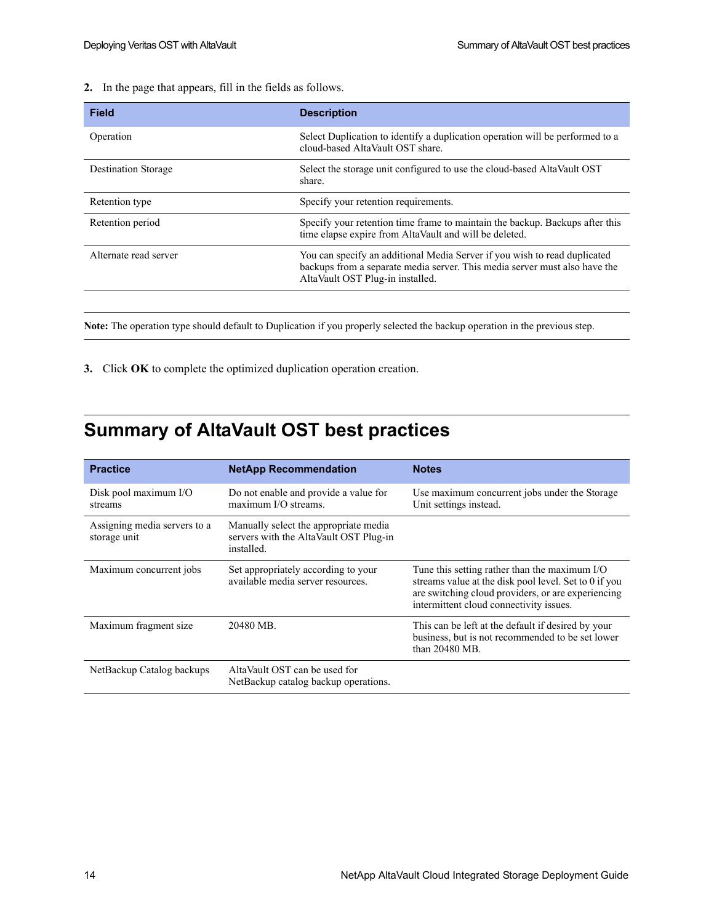#### **2.** In the page that appears, fill in the fields as follows.

| <b>Field</b>               | <b>Description</b>                                                                                                                                                                          |  |
|----------------------------|---------------------------------------------------------------------------------------------------------------------------------------------------------------------------------------------|--|
| Operation                  | Select Duplication to identify a duplication operation will be performed to a<br>cloud-based AltaVault OST share.                                                                           |  |
| <b>Destination Storage</b> | Select the storage unit configured to use the cloud-based AltaVault OST<br>share.                                                                                                           |  |
| Retention type             | Specify your retention requirements.                                                                                                                                                        |  |
| Retention period           | Specify your retention time frame to maintain the backup. Backups after this<br>time elapse expire from AltaVault and will be deleted.                                                      |  |
| Alternate read server      | You can specify an additional Media Server if you wish to read duplicated<br>backups from a separate media server. This media server must also have the<br>AltaVault OST Plug-in installed. |  |
|                            |                                                                                                                                                                                             |  |

**Note:** The operation type should default to Duplication if you properly selected the backup operation in the previous step.

**3.** Click **OK** to complete the optimized duplication operation creation.

## <span id="page-13-1"></span><span id="page-13-0"></span>**Summary of AltaVault OST best practices**

| <b>Practice</b>                              | <b>NetApp Recommendation</b>                                                                  | <b>Notes</b>                                                                                                                                                                                            |
|----------------------------------------------|-----------------------------------------------------------------------------------------------|---------------------------------------------------------------------------------------------------------------------------------------------------------------------------------------------------------|
| Disk pool maximum I/O<br>streams             | Do not enable and provide a value for<br>maximum I/O streams.                                 | Use maximum concurrent jobs under the Storage<br>Unit settings instead.                                                                                                                                 |
| Assigning media servers to a<br>storage unit | Manually select the appropriate media<br>servers with the AltaVault OST Plug-in<br>installed. |                                                                                                                                                                                                         |
| Maximum concurrent jobs                      | Set appropriately according to your<br>available media server resources.                      | Tune this setting rather than the maximum I/O<br>streams value at the disk pool level. Set to 0 if you<br>are switching cloud providers, or are experiencing<br>intermittent cloud connectivity issues. |
| Maximum fragment size                        | 20480 MB.                                                                                     | This can be left at the default if desired by your<br>business, but is not recommended to be set lower<br>than 20480 MB.                                                                                |
| NetBackup Catalog backups                    | AltaVault OST can be used for<br>NetBackup catalog backup operations.                         |                                                                                                                                                                                                         |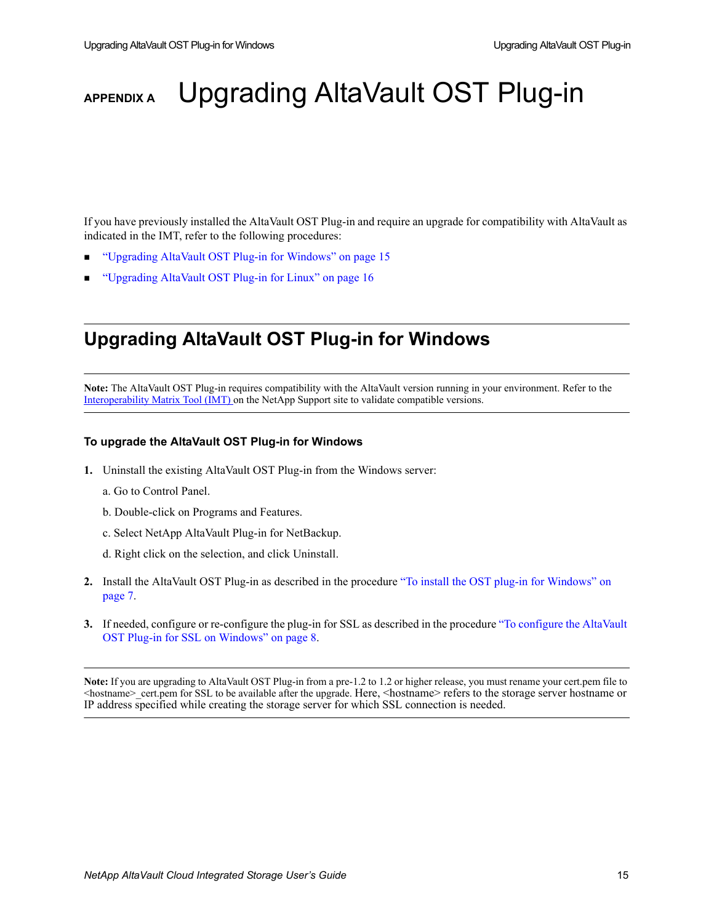# <span id="page-14-0"></span>**APPENDIX A** Upgrading AltaVault OST Plug-in

<span id="page-14-3"></span><span id="page-14-2"></span>If you have previously installed the AltaVault OST Plug-in and require an upgrade for compatibility with AltaVault as indicated in the IMT, refer to the following procedures:

- ["Upgrading AltaVault OST Plug-in for Windows" on page 15](#page-14-1)
- ["Upgrading AltaVault OST Plug-in for Linux" on page 16](#page-15-0)

### <span id="page-14-1"></span>**Upgrading AltaVault OST Plug-in for Windows**

**Note:** The AltaVault OST Plug-in requires compatibility with the AltaVault version running in your environment. Refer to the [Interoperability Matrix Tool \(IMT\)](http://support.netapp.com/matrix/) on the NetApp Support site to validate compatible versions.

#### <span id="page-14-4"></span>**To upgrade the AltaVault OST Plug-in for Windows**

- **1.** Uninstall the existing AltaVault OST Plug-in from the Windows server:
	- a. Go to Control Panel.
	- b. Double-click on Programs and Features.
	- c. Select NetApp AltaVault Plug-in for NetBackup.
	- d. Right click on the selection, and click Uninstall.
- **2.** Install the AltaVault OST Plug-in as described in the procedure ["To install the OST plug-in for Windows" on](#page-6-3)  [page 7](#page-6-3).
- **3.** If needed, configure or re-configure the plug-in for SSL as described in the procedure "To configure the AltaVault" [OST Plug-in for SSL on Windows" on page 8.](#page-7-1)

**Note:** If you are upgrading to AltaVault OST Plug-in from a pre-1.2 to 1.2 or higher release, you must rename your cert.pem file to <hostname> cert.pem for SSL to be available after the upgrade. Here, <hostname> refers to the storage server hostname or IP address specified while creating the storage server for which SSL connection is needed.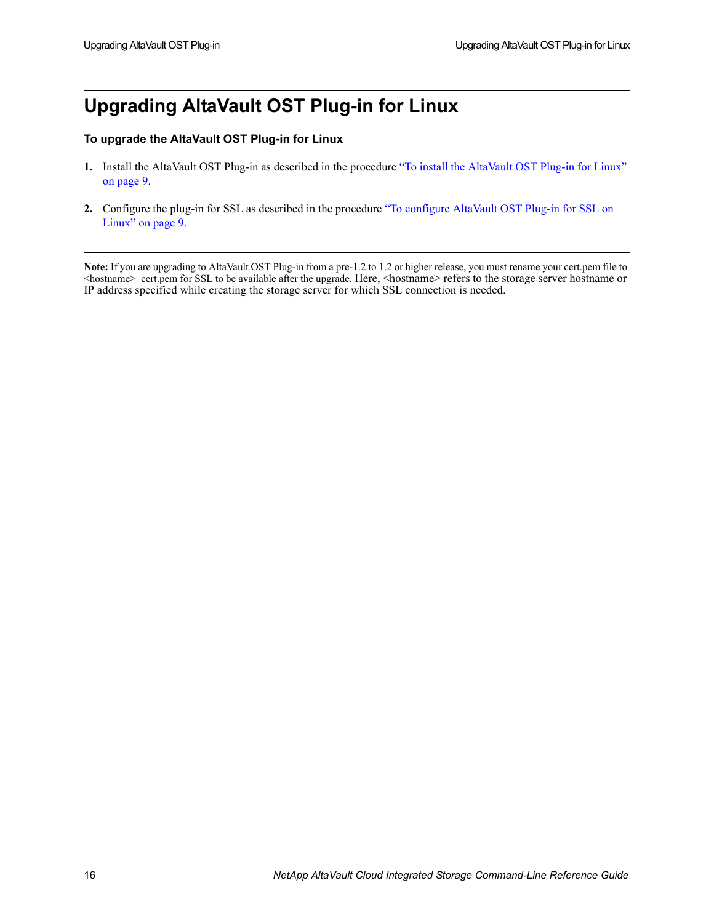### <span id="page-15-0"></span>**Upgrading AltaVault OST Plug-in for Linux**

#### <span id="page-15-1"></span>**To upgrade the AltaVault OST Plug-in for Linux**

- **1.** Install the AltaVault OST Plug-in as described in the procedure ["To install the AltaVault OST Plug-in for Linux"](#page-8-0)  [on page 9](#page-8-0).
- **2.** Configure the plug-in for SSL as described in the procedure ["To configure AltaVault OST Plug-in for SSL on](#page-8-1)  [Linux" on page 9.](#page-8-1)

**Note:** If you are upgrading to AltaVault OST Plug-in from a pre-1.2 to 1.2 or higher release, you must rename your cert.pem file to <hostname>\_cert.pem for SSL to be available after the upgrade. Here, <hostname> refers to the storage server hostname or IP address specified while creating the storage server for which SSL connection is needed.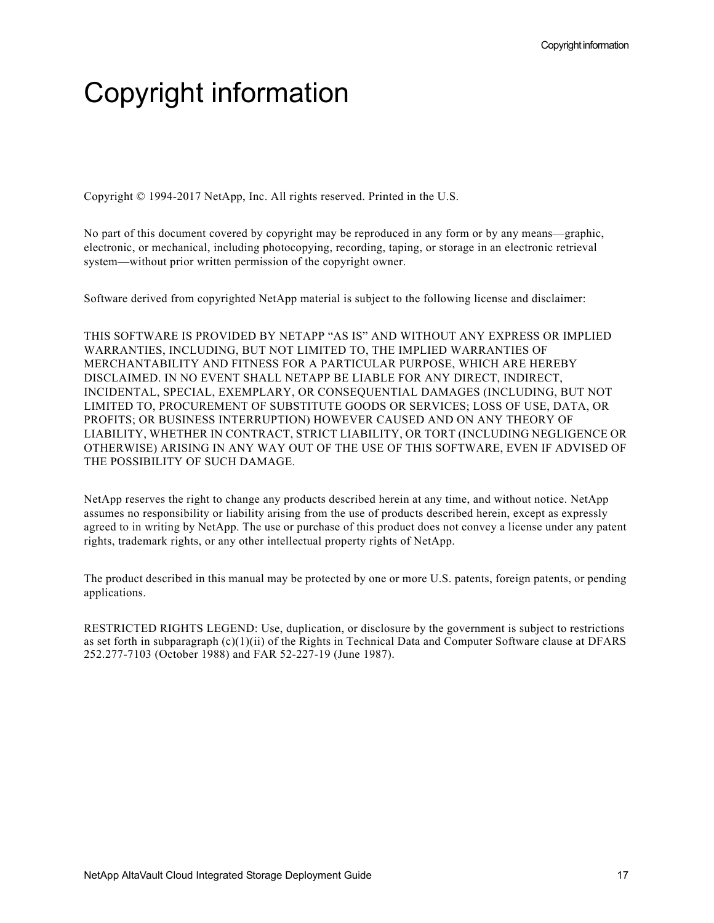# <span id="page-16-0"></span>Copyright information

Copyright © 1994-2017 NetApp, Inc. All rights reserved. Printed in the U.S.

No part of this document covered by copyright may be reproduced in any form or by any means—graphic, electronic, or mechanical, including photocopying, recording, taping, or storage in an electronic retrieval system—without prior written permission of the copyright owner.

Software derived from copyrighted NetApp material is subject to the following license and disclaimer:

THIS SOFTWARE IS PROVIDED BY NETAPP "AS IS" AND WITHOUT ANY EXPRESS OR IMPLIED WARRANTIES, INCLUDING, BUT NOT LIMITED TO, THE IMPLIED WARRANTIES OF MERCHANTABILITY AND FITNESS FOR A PARTICULAR PURPOSE, WHICH ARE HEREBY DISCLAIMED. IN NO EVENT SHALL NETAPP BE LIABLE FOR ANY DIRECT, INDIRECT, INCIDENTAL, SPECIAL, EXEMPLARY, OR CONSEQUENTIAL DAMAGES (INCLUDING, BUT NOT LIMITED TO, PROCUREMENT OF SUBSTITUTE GOODS OR SERVICES; LOSS OF USE, DATA, OR PROFITS; OR BUSINESS INTERRUPTION) HOWEVER CAUSED AND ON ANY THEORY OF LIABILITY, WHETHER IN CONTRACT, STRICT LIABILITY, OR TORT (INCLUDING NEGLIGENCE OR OTHERWISE) ARISING IN ANY WAY OUT OF THE USE OF THIS SOFTWARE, EVEN IF ADVISED OF THE POSSIBILITY OF SUCH DAMAGE.

NetApp reserves the right to change any products described herein at any time, and without notice. NetApp assumes no responsibility or liability arising from the use of products described herein, except as expressly agreed to in writing by NetApp. The use or purchase of this product does not convey a license under any patent rights, trademark rights, or any other intellectual property rights of NetApp.

The product described in this manual may be protected by one or more U.S. patents, foreign patents, or pending applications.

RESTRICTED RIGHTS LEGEND: Use, duplication, or disclosure by the government is subject to restrictions as set forth in subparagraph (c)(1)(ii) of the Rights in Technical Data and Computer Software clause at DFARS 252.277-7103 (October 1988) and FAR 52-227-19 (June 1987).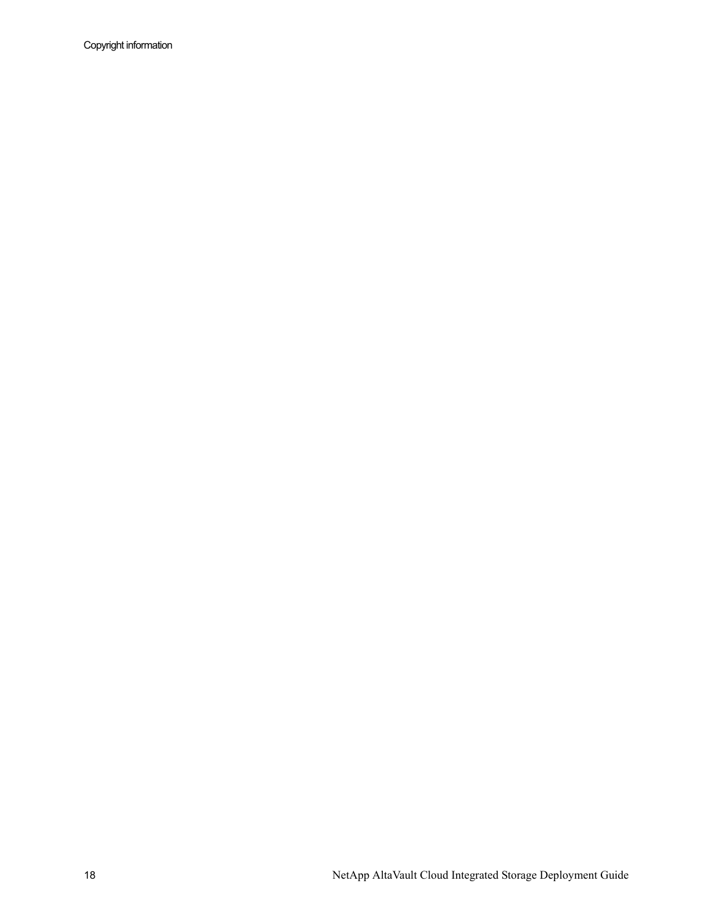Copyright information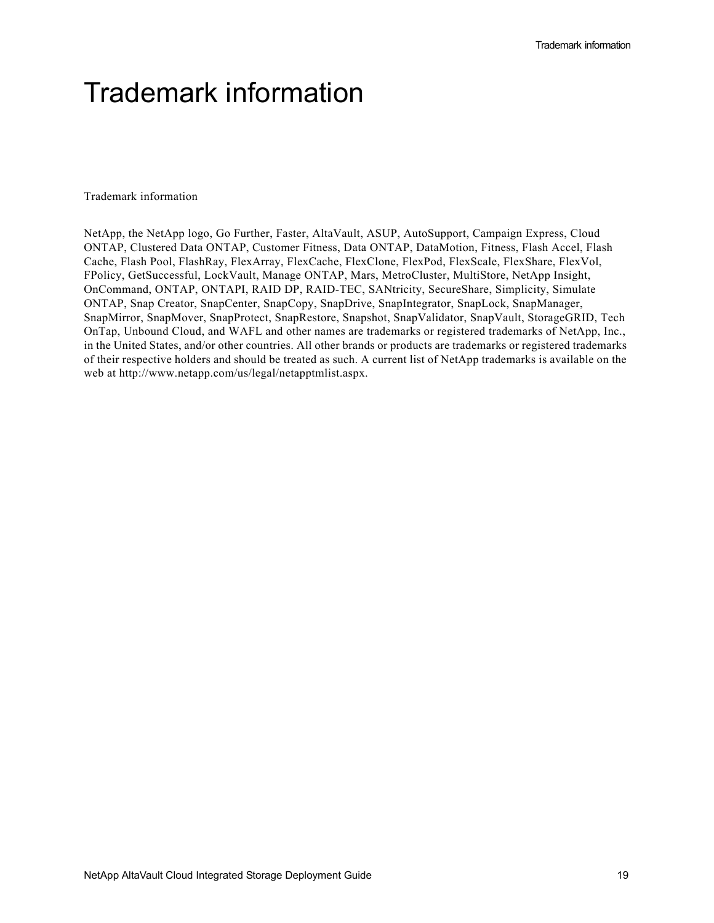# <span id="page-18-0"></span>Trademark information

Trademark information

NetApp, the NetApp logo, Go Further, Faster, AltaVault, ASUP, AutoSupport, Campaign Express, Cloud ONTAP, Clustered Data ONTAP, Customer Fitness, Data ONTAP, DataMotion, Fitness, Flash Accel, Flash Cache, Flash Pool, FlashRay, FlexArray, FlexCache, FlexClone, FlexPod, FlexScale, FlexShare, FlexVol, FPolicy, GetSuccessful, LockVault, Manage ONTAP, Mars, MetroCluster, MultiStore, NetApp Insight, OnCommand, ONTAP, ONTAPI, RAID DP, RAID-TEC, SANtricity, SecureShare, Simplicity, Simulate ONTAP, Snap Creator, SnapCenter, SnapCopy, SnapDrive, SnapIntegrator, SnapLock, SnapManager, SnapMirror, SnapMover, SnapProtect, SnapRestore, Snapshot, SnapValidator, SnapVault, StorageGRID, Tech OnTap, Unbound Cloud, and WAFL and other names are trademarks or registered trademarks of NetApp, Inc., in the United States, and/or other countries. All other brands or products are trademarks or registered trademarks of their respective holders and should be treated as such. A current list of NetApp trademarks is available on the web at http://www.netapp.com/us/legal/netapptmlist.aspx.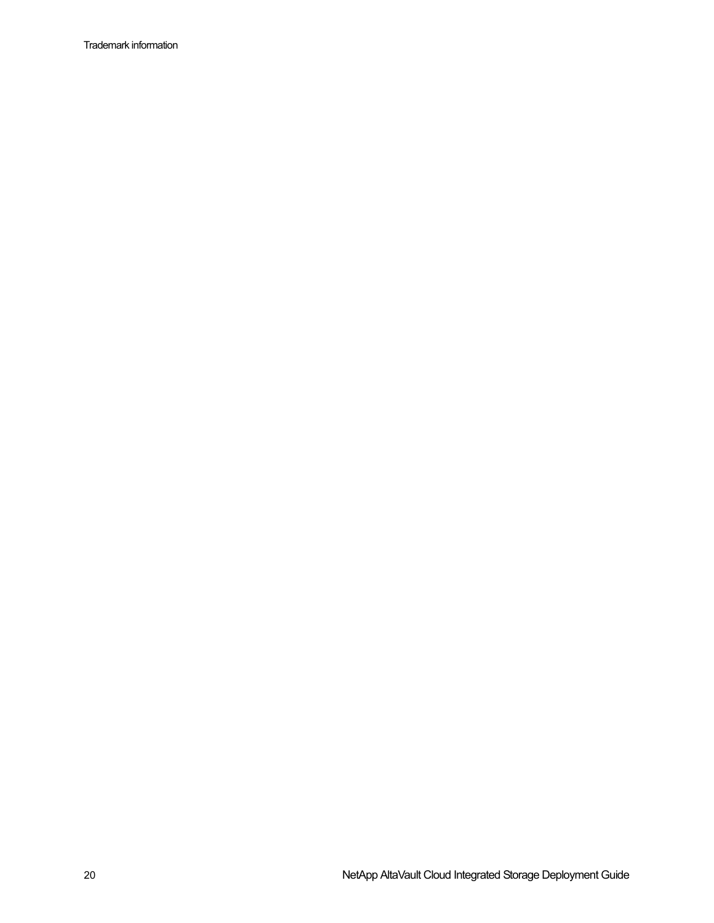Trademark information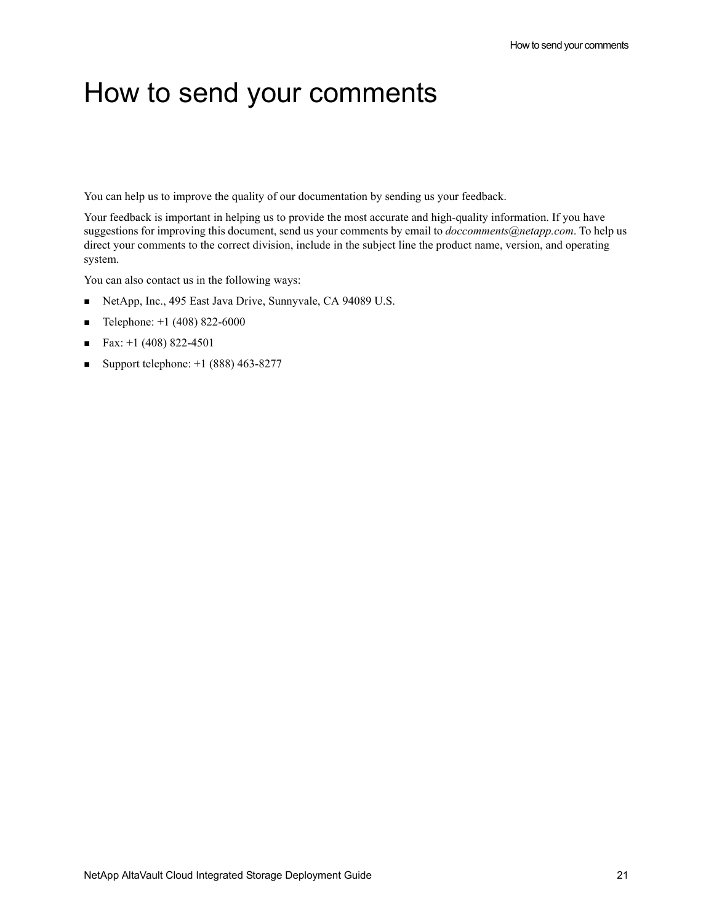# <span id="page-20-0"></span>How to send your comments

You can help us to improve the quality of our documentation by sending us your feedback.

Your feedback is important in helping us to provide the most accurate and high-quality information. If you have suggestions for improving this document, send us your comments by email to *doccomments@netapp.com*. To help us direct your comments to the correct division, include in the subject line the product name, version, and operating system.

You can also contact us in the following ways:

- NetApp, Inc., 495 East Java Drive, Sunnyvale, CA 94089 U.S.
- $\blacksquare$  Telephone: +1 (408) 822-6000
- **Fax:**  $+1$  (408) 822-4501
- Support telephone:  $+1$  (888) 463-8277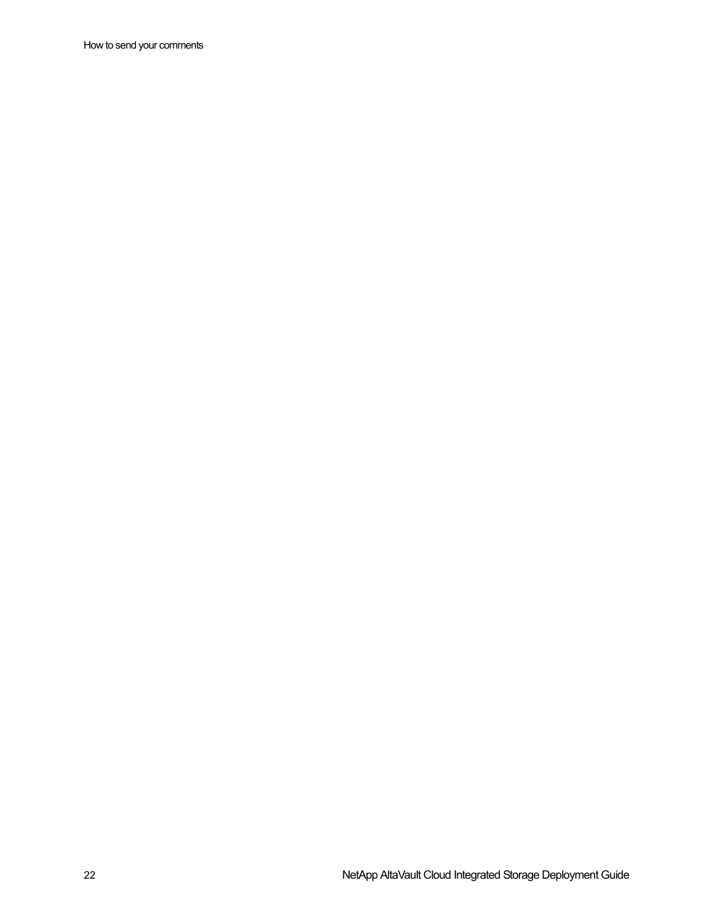How to send your comments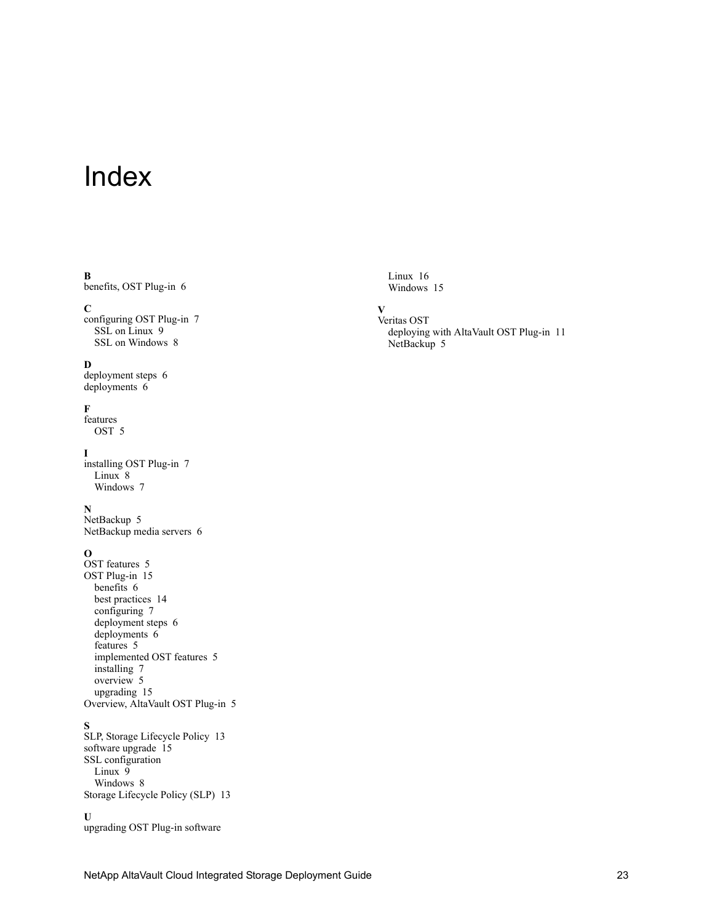## <span id="page-22-0"></span>Index

#### **B**

[benefits, OST Plug-in 6](#page-5-3)

#### **C**

[configuring OST Plug-in 7](#page-6-4) [SSL on Linux 9](#page-8-2) [SSL on Windows 8](#page-7-2)

#### **D**

[deployment steps 6](#page-5-4) [deployments 6](#page-5-5)

#### **F**

features [OST 5](#page-4-3)

#### **I**

[installing OST Plug-in 7](#page-6-4) Linux<sup>8</sup> [Windows 7](#page-6-5)

#### **N**

[NetBackup 5](#page-4-4) [NetBackup media servers 6](#page-5-5)

#### **O**

[OST features 5](#page-4-3) [OST Plug-in 15](#page-14-2) [benefits 6](#page-5-3) [best practices 14](#page-13-1) [configuring 7](#page-6-4) [deployment steps 6](#page-5-4) [deployments 6](#page-5-5) [features 5](#page-4-5) [implemented OST features 5](#page-4-3) [installing 7](#page-6-4) [overview 5](#page-4-6) [upgrading 15](#page-14-3) [Overview, AltaVault OST Plug-in 5](#page-4-6)

#### **S**

[SLP, Storage Lifecycle Policy 13](#page-12-0) [software upgrade 15](#page-14-2) SSL configuration Linux  $\overline{9}$ [Windows 8](#page-7-2) [Storage Lifecycle Policy \(SLP\) 13](#page-12-0)

#### **U**

upgrading OST Plug-in software

[Linux 16](#page-15-1) [Windows 15](#page-14-4)

### **V**

Veritas OST [deploying with AltaVault OST Plug-in 11](#page-10-3) [NetBackup 5](#page-4-4)